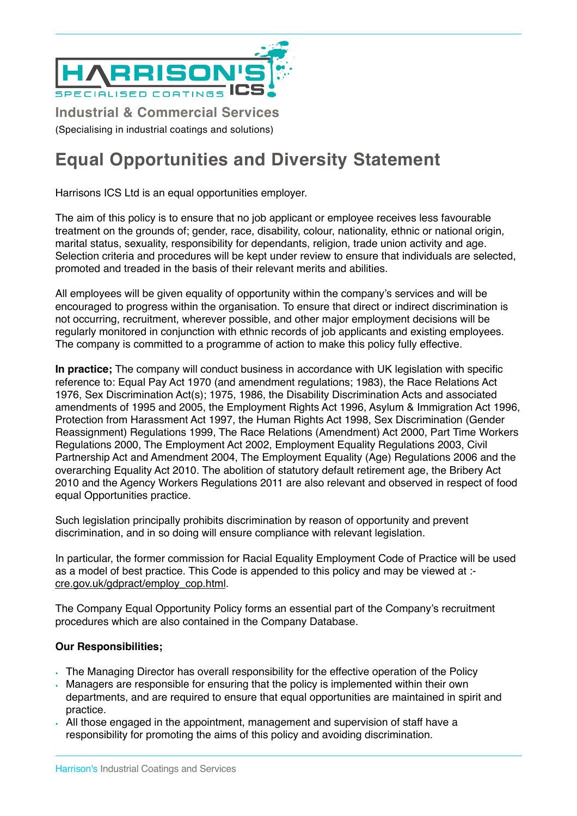

**Industrial & Commercial Services**

(Specialising in industrial coatings and solutions)

## **Equal Opportunities and Diversity Statement**

Harrisons ICS Ltd is an equal opportunities employer.

The aim of this policy is to ensure that no job applicant or employee receives less favourable treatment on the grounds of; gender, race, disability, colour, nationality, ethnic or national origin, marital status, sexuality, responsibility for dependants, religion, trade union activity and age. Selection criteria and procedures will be kept under review to ensure that individuals are selected, promoted and treaded in the basis of their relevant merits and abilities.

All employees will be given equality of opportunity within the company's services and will be encouraged to progress within the organisation. To ensure that direct or indirect discrimination is not occurring, recruitment, wherever possible, and other major employment decisions will be regularly monitored in conjunction with ethnic records of job applicants and existing employees. The company is committed to a programme of action to make this policy fully effective.

**In practice;** The company will conduct business in accordance with UK legislation with specific reference to: Equal Pay Act 1970 (and amendment regulations; 1983), the Race Relations Act 1976, Sex Discrimination Act(s); 1975, 1986, the Disability Discrimination Acts and associated amendments of 1995 and 2005, the Employment Rights Act 1996, Asylum & Immigration Act 1996, Protection from Harassment Act 1997, the Human Rights Act 1998, Sex Discrimination (Gender Reassignment) Regulations 1999, The Race Relations (Amendment) Act 2000, Part Time Workers Regulations 2000, The Employment Act 2002, Employment Equality Regulations 2003, Civil Partnership Act and Amendment 2004, The Employment Equality (Age) Regulations 2006 and the overarching Equality Act 2010. The abolition of statutory default retirement age, the Bribery Act 2010 and the Agency Workers Regulations 2011 are also relevant and observed in respect of food equal Opportunities practice.

Such legislation principally prohibits discrimination by reason of opportunity and prevent discrimination, and in so doing will ensure compliance with relevant legislation.

In particular, the former commission for Racial Equality Employment Code of Practice will be used as a model of best practice. This Code is appended to this policy and may be viewed at : [cre.gov.uk/gdpract/employ\\_cop.html.](http://cre.gov.uk/gdpract/employ_cop.html)

The Company Equal Opportunity Policy forms an essential part of the Company's recruitment procedures which are also contained in the Company Database.

## **Our Responsibilities;**

- The Managing Director has overall responsibility for the effective operation of the Policy
- Managers are responsible for ensuring that the policy is implemented within their own departments, and are required to ensure that equal opportunities are maintained in spirit and practice.
- All those engaged in the appointment, management and supervision of staff have a responsibility for promoting the aims of this policy and avoiding discrimination.